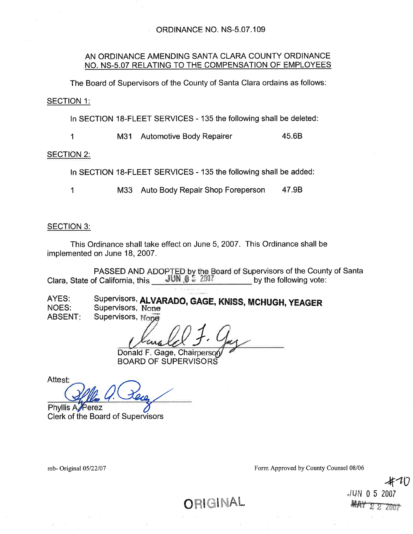#### AN ORDINANCE AMENDING SANTA CLARA COUNTY ORDINANCE NO. NS-5.07 RELATING TO THE COMPENSATION OF EMPLOYEES

The Board of Supervisors of the County of Santa Clara ordains as follows:

**SECTION 1:** 

In SECTION 18-FLEET SERVICES - 135 the following shall be deleted:

45.6B  $\mathbf 1$ M31 Automotive Body Repairer

**SECTION 2:** 

In SECTION 18-FLEET SERVICES - 135 the following shall be added:

 $\mathbf 1$ M33 Auto Body Repair Shop Foreperson 47.9B

#### **SECTION 3:**

This Ordinance shall take effect on June 5, 2007. This Ordinance shall be implemented on June 18, 2007.

PASSED AND ADOPTED by the Board of Supervisors of the County of Santa **JUN 0 5 2007** Clara, State of California, this by the following vote:

Supervisors, ALVARADO, GAGE, KNISS, MCHUGH, YEAGER AYES: **NOES:** Supervisors, None Supervisors, None **ABSENT:** 

Donald F. Gage, Chairperson **BOARD OF SUPERVISORS** 

Attest: Phyllis A Perez

**Clerk of the Board of Supervisors** 

mb-Original 05/22/07

Form Approved by County Counsel 08/06

JUN 05  $H$  $H$  $Y$  $Z$  $Z$ 

ORIGINAL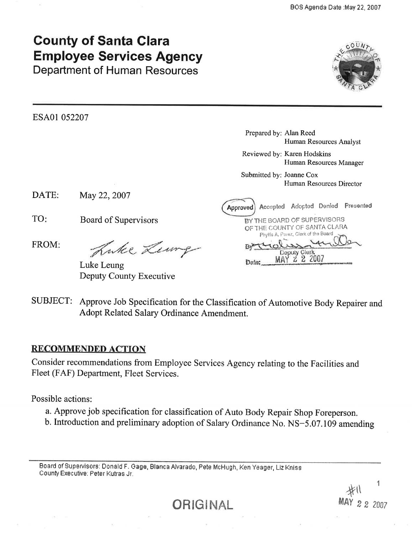# **County of Santa Clara Employee Services Agency**

**Department of Human Resources** 



ESA01 052207

Prepared by: Alan Reed Human Resources Analyst

Reviewed by: Karen Hodskins Human Resources Manager

Submitted by: Joanne Cox Human Resources Director

| DATE: | May 22, 2007 |  |
|-------|--------------|--|
|-------|--------------|--|

TO: Board of Supervisors

FROM:

Luke Lemp

Luke Leung Deputy County Executive

| Approved) Accepted Adopted Denied Presented |              |  |
|---------------------------------------------|--------------|--|
| BY THE BOARD OF SUPERVISORS                 |              |  |
| OF THE COUNTY OF SANTA CLARA                |              |  |
| Phyllis A. Perez, Clerk of the Board        |              |  |
|                                             |              |  |
|                                             | Deputy Clerk |  |
|                                             |              |  |

SUBJECT: Approve Job Specification for the Classification of Automotive Body Repairer and Adopt Related Salary Ordinance Amendment.

#### **RECOMMENDED ACTION**

Consider recommendations from Employee Services Agency relating to the Facilities and Fleet (FAF) Department, Fleet Services.

Possible actions:

- a. Approve job specification for classification of Auto Body Repair Shop Foreperson.
- b. Introduction and preliminary adoption of Salary Ordinance No. NS-5.07.109 amending

Board of Supervisors: Donald F. Gage, Blanca Alvarado, Pete McHugh, Ken Yeager, Liz Kniss County Executive: Peter Kutras Jr.

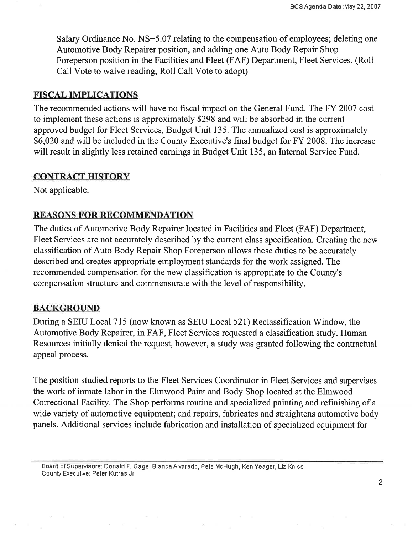Salary Ordinance No. NS-5.07 relating to the compensation of employees; deleting one Automotive Body Repairer position, and adding one Auto Body Repair Shop Foreperson position in the Facilities and Fleet (FAF) Department, Fleet Services. (Roll Call Vote to waive reading, Roll Call Vote to adopt)

#### FISCAL IMPLICATIONS

The recommended actions will have no fiscal impact on the General Fund. The FY 2007 cost to implement these actions is approximately \$298 and will be absorbed in the current approved budget for Fleet Services, Budget Unit 135. The annualized cost is approximately \$6,020 and will be included in the County Executive's final budget for FY 2008. The increase will result in slightly less retained earnings in Budget Unit I35, an Internal Service Fund.

#### CONTRACT HISTORY

Not applicable.

### REASONS FOR RECOMMENDATION

The duties of Automotive Body Repairer located in Facilities and Fleet (FAF) Department, Fleet Services are not accurately described by the current class specification. Creating the new classification of Auto Body Repair Shop Foreperson allows these duties to be accurately described and creates appropriate employment standards for the work assigned. The recommended compensation for the new classification is appropriate to the Counfy's compensation structure and commensurate with the level of responsibility.

#### BACKGROUND

During a SEIU Local 715 (now known as SEIU Local 521) Reclassification Window, the Automotive Body Repairer, in FAF, Fleet Services requested a classification study. Human Resources initially denied the request, however, a study was granted following the contractual appeal process.

The position studied reports to the Fleet Services Coordinator in Fleet Services and supervises the work of inmate labor in the Elmwood Paint and Body Shop located at the Elmwood Correctional Facility. The Shop performs routine and specialized painting and refinishing of a wide variety of automotive equipment; and repairs, fabricates and straightens automotive body panels. Additional services include fabrication and installation of specialized equipment for

Board of Supervisors: Donald F. Gage, Blanca Alvarado, Pete McHugh, Ken Yeager, Liz Kniss County Executive: Peter Kutras Jr.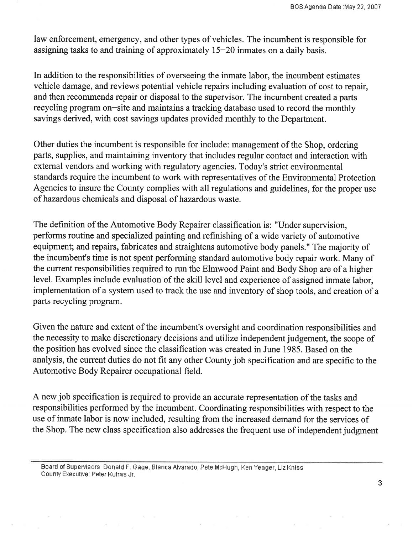law enforcement, emergency, and other types of vehicles. The incumbent is responsible for assigning tasks to and training of approximately 15-20 inmates on a daily basis.

In addition to the responsibilities of overseeing the inmate labor, the incumbent estimates vehicle damage, and reviews potential vehicle repairs including evaluation of cost to repair, and then recommends repair or disposal to the supervisor. The incumbent created a parts recycling program on-site and maintains a tracking database used to record the monthly savings derived, with cost savings updates provided monthly to the Department.

Other duties the incumbent is responsible for include: management of the Shop, ordering parts, supplies, and maintaining inventory that includes regular contact and interaction with external vendors and working with regulatory agencies. Today's strict environmental standards require the incumbent to work with representatives of the Environmental Protection Agencies to insure the County complies with all regulations and guidelines, for the proper use of hazardous chemicals and disposal of hazardous waste.

The definition of the Automotive Body Repairer classification is: "Under supervision, performs routine and specialized painting and refinishing of a wide variety of automotive equipment; and repairs, fabricates and straightens automotive body panels." The majority of the incumbent's time is not spent performing standard automotive body repair work. Many of the current responsibilities required to run the Elmwood Paint and Body Shop are of a higher level. Examples include evaluation of the skill level and experience of assigned inmate labor, implementation of a system used to track the use and inventory of shop tools, and creation of a parts recycling program.

Given the nature and extent of the incumbent's oversight and coordination responsibilities and the necessity to make discretionary decisions and utilize independent judgement, the scope of the position has evolved since the classification was created in June 1985. Based on the analysis, the current duties do not fit any other County job specification and are specific to the Automotive Body Repairer occupational field.

A new job specification is required to provide an accurate representation of the tasks and responsibilities performed by the incumbent. Coordinating responsibilities with respect to the use of inmate labor is now included, resulting from the increased demand for the services of the Shop. The new class specification also addresses the frequent use of independent judgment

Board of Supervisors: Donald F. Gage, Blanca Alvarado, Pete McHugh, Ken Yeager, Liz Kniss County Executive: Peter Kutras Jr.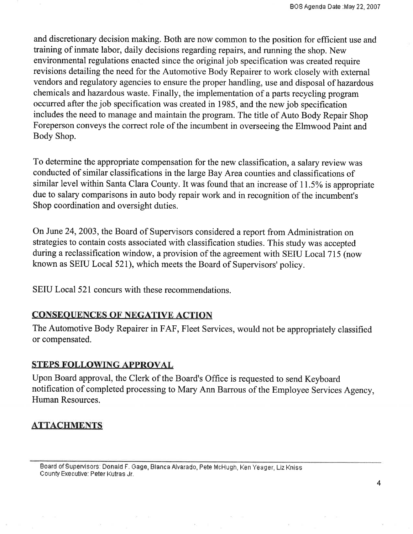and discretionary decision making. Both are now common to the position for efficient use and training of inmate labor, daily decisions regarding repairs, and running the shop. New environmental regulations enacted since the original job specification was created require revisions detailing the need for the Automotive Body Repairer to work closely with external vendors and regulatory agencies to ensure the proper handling, use and disposal of hazardous chemicals and hazardous waste. Finally, the implementation of a parts recycling program occurred after the job specification was created in 1985, and the new job specification includes the need to manage and maintain the program. The title of Auto Body Repair Shop Foreperson conveys the correct role of the incumbent in overseeing the Elmwood Paint and Body Shop.

To determine the appropriate compensation for the new classification, a salary review was conducted of similar classifications in the large Bay Area counties and classifications of similar level within Santa Clara County. It was found that an increase of 11.5% is appropriate due to salary comparisons in auto body repair work and in recognition of the incumbent's Shop coordination and oversight duties.

On June 24, 2003, the Board of Supervisors considered a report from Administration on strategies to contain costs associated with classification studies. This study was accepted during a reclassification window, a provision of the agreement with SEIU Local  $715$  (now known as SEIU Local 521), which meets the Board of Supervisors' policy.

SEIU Local 521 concurs with these recommendations.

#### **CONSEQUENCES OF NEGATIVE ACTION**

The Automotive Body Repairer in FAF, Fleet Services, would not be appropriately classified or compensated.

#### **STEPS FOLLOWING APPROVAL**

Upon Board approval, the Clerk of the Board's Office is requested to send Keyboard notification of completed processing to Mary Ann Barrous of the Employee Services Agency, Human Resources.

## **ATTACHMENTS**